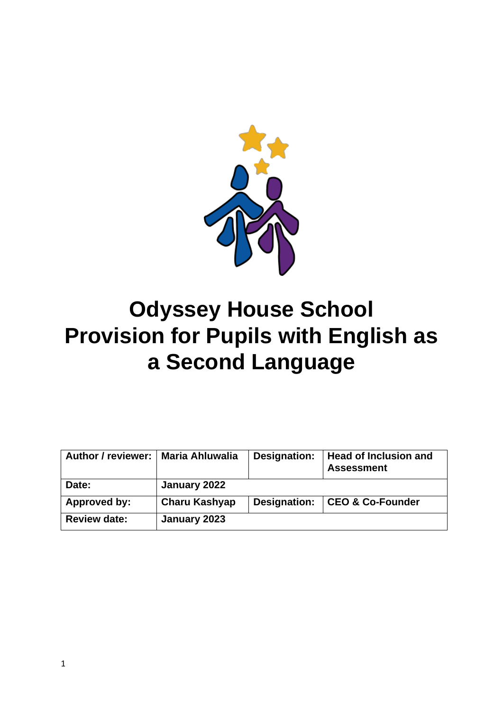

# **Odyssey House School Provision for Pupils with English as a Second Language**

| Author / reviewer:   Maria Ahluwalia |                      | Designation: | <b>Head of Inclusion and</b><br><b>Assessment</b> |
|--------------------------------------|----------------------|--------------|---------------------------------------------------|
| Date:                                | January 2022         |              |                                                   |
| Approved by:                         | <b>Charu Kashyap</b> | Designation: | CEO & Co-Founder                                  |
| <b>Review date:</b>                  | January 2023         |              |                                                   |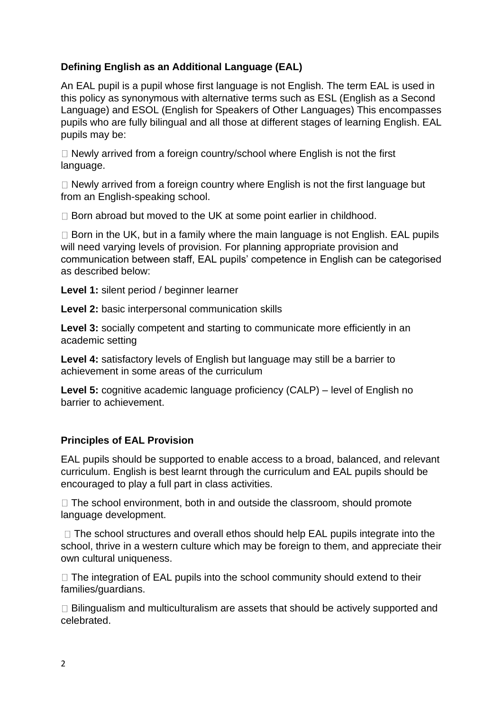# **Defining English as an Additional Language (EAL)**

An EAL pupil is a pupil whose first language is not English. The term EAL is used in this policy as synonymous with alternative terms such as ESL (English as a Second Language) and ESOL (English for Speakers of Other Languages) This encompasses pupils who are fully bilingual and all those at different stages of learning English. EAL pupils may be:

 $\Box$  Newly arrived from a foreign country/school where English is not the first language.

□ Newly arrived from a foreign country where English is not the first language but from an English-speaking school.

 $\Box$  Born abroad but moved to the UK at some point earlier in childhood.

 $\Box$  Born in the UK, but in a family where the main language is not English. EAL pupils will need varying levels of provision. For planning appropriate provision and communication between staff, EAL pupils' competence in English can be categorised as described below:

**Level 1:** silent period / beginner learner

**Level 2:** basic interpersonal communication skills

Level 3: socially competent and starting to communicate more efficiently in an academic setting

**Level 4:** satisfactory levels of English but language may still be a barrier to achievement in some areas of the curriculum

**Level 5:** cognitive academic language proficiency (CALP) – level of English no barrier to achievement.

## **Principles of EAL Provision**

EAL pupils should be supported to enable access to a broad, balanced, and relevant curriculum. English is best learnt through the curriculum and EAL pupils should be encouraged to play a full part in class activities.

 $\Box$  The school environment, both in and outside the classroom, should promote language development.

 $\Box$  The school structures and overall ethos should help EAL pupils integrate into the school, thrive in a western culture which may be foreign to them, and appreciate their own cultural uniqueness.

 $\Box$  The integration of EAL pupils into the school community should extend to their families/guardians.

 $\Box$  Bilingualism and multiculturalism are assets that should be actively supported and celebrated.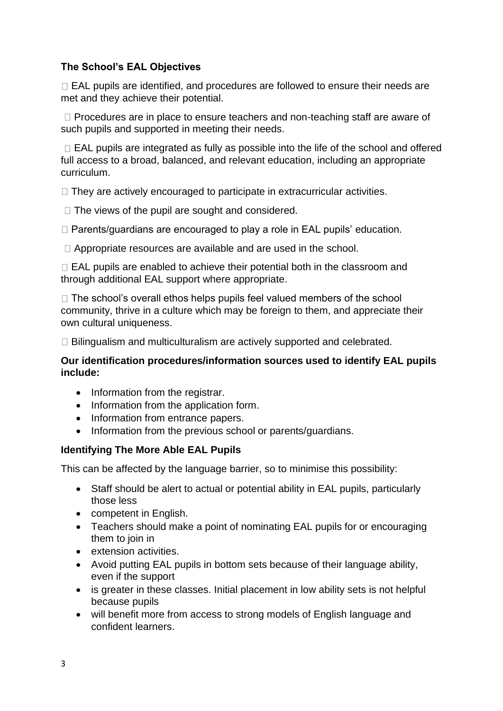# **The School's EAL Objectives**

 $\Box$  EAL pupils are identified, and procedures are followed to ensure their needs are met and they achieve their potential.

 $\Box$  Procedures are in place to ensure teachers and non-teaching staff are aware of such pupils and supported in meeting their needs.

 $\Box$  EAL pupils are integrated as fully as possible into the life of the school and offered full access to a broad, balanced, and relevant education, including an appropriate curriculum.

 $\Box$  They are actively encouraged to participate in extracurricular activities.

 $\Box$  The views of the pupil are sought and considered.

 $\Box$  Parents/guardians are encouraged to play a role in EAL pupils' education.

 $\Box$  Appropriate resources are available and are used in the school.

 $\Box$  EAL pupils are enabled to achieve their potential both in the classroom and through additional EAL support where appropriate.

 $\Box$  The school's overall ethos helps pupils feel valued members of the school community, thrive in a culture which may be foreign to them, and appreciate their own cultural uniqueness.

 $\Box$  Bilingualism and multiculturalism are actively supported and celebrated.

#### **Our identification procedures/information sources used to identify EAL pupils include:**

- Information from the registrar.
- Information from the application form.
- Information from entrance papers.
- Information from the previous school or parents/guardians.

## **Identifying The More Able EAL Pupils**

This can be affected by the language barrier, so to minimise this possibility:

- Staff should be alert to actual or potential ability in EAL pupils, particularly those less
- competent in English.
- Teachers should make a point of nominating EAL pupils for or encouraging them to join in
- extension activities.
- Avoid putting EAL pupils in bottom sets because of their language ability, even if the support
- is greater in these classes. Initial placement in low ability sets is not helpful because pupils
- will benefit more from access to strong models of English language and confident learners.